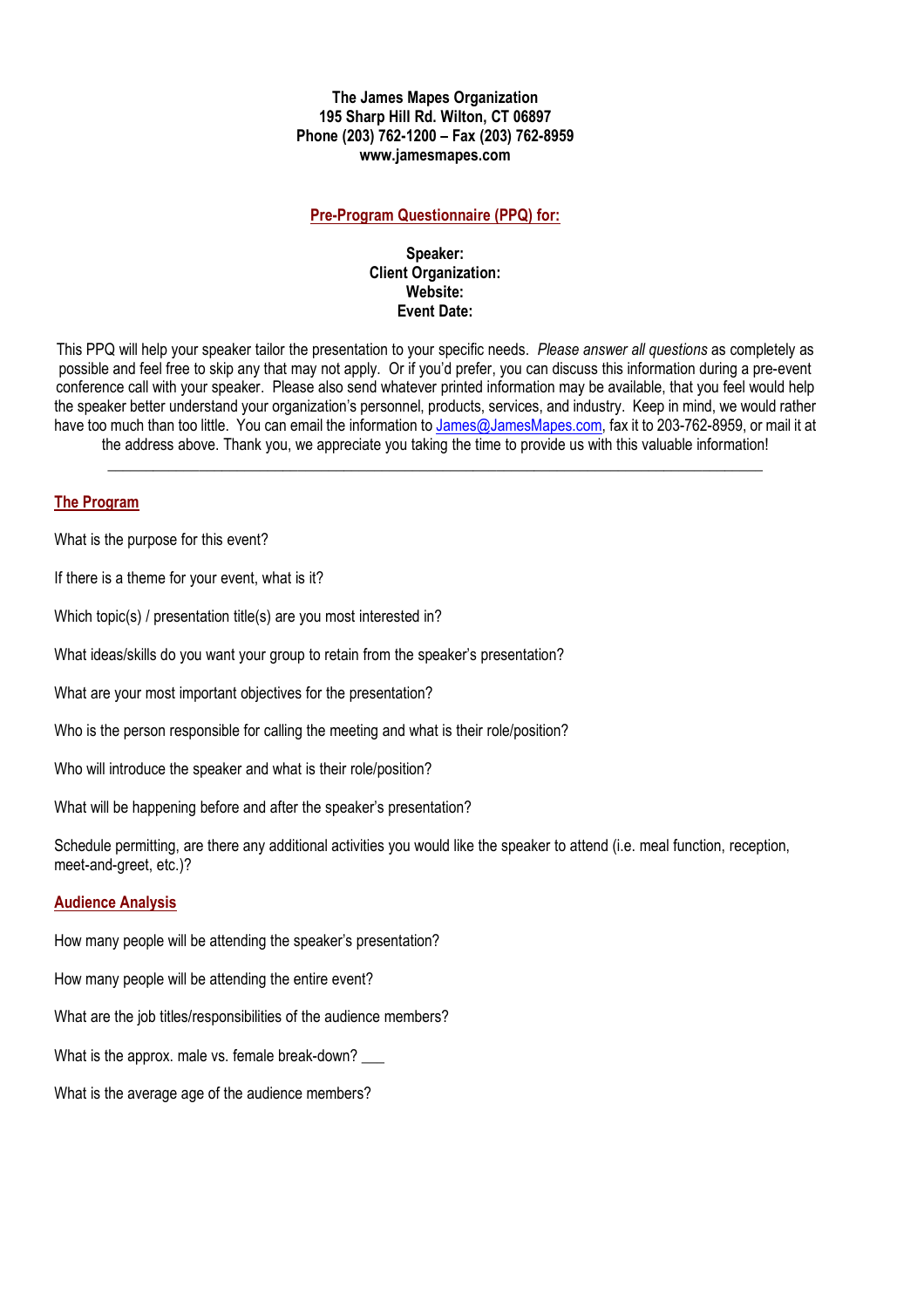# **The James Mapes Organization 195 Sharp Hill Rd. Wilton, CT 06897 Phone (203) 762-1200 – Fax (203) 762-8959 www.jamesmapes.com**

# **Pre-Program Questionnaire (PPQ) for:**

#### **Speaker: Client Organization: Website: Event Date:**

This PPQ will help your speaker tailor the presentation to your specific needs. *Please answer all questions* as completely as possible and feel free to skip any that may not apply. Or if you'd prefer, you can discuss this information during a pre-event conference call with your speaker. Please also send whatever printed information may be available, that you feel would help the speaker better understand your organization's personnel, products, services, and industry. Keep in mind, we would rather have too much than too little. You can email the information to James@JamesMapes.com, fax it to 203-762-8959, or mail it at the address above. Thank you, we appreciate you taking the time to provide us with this valuable information!

\_\_\_\_\_\_\_\_\_\_\_\_\_\_\_\_\_\_\_\_\_\_\_\_\_\_\_\_\_\_\_\_\_\_\_\_\_\_\_\_\_\_\_\_\_\_\_\_\_\_\_\_\_\_\_\_\_\_\_\_\_\_\_\_\_\_\_\_\_\_\_\_\_\_\_\_\_\_\_\_\_\_\_\_\_\_

#### **The Program**

What is the purpose for this event?

If there is a theme for your event, what is it?

Which topic(s) / presentation title(s) are you most interested in?

What ideas/skills do you want your group to retain from the speaker's presentation?

What are your most important objectives for the presentation?

Who is the person responsible for calling the meeting and what is their role/position?

Who will introduce the speaker and what is their role/position?

What will be happening before and after the speaker's presentation?

Schedule permitting, are there any additional activities you would like the speaker to attend (i.e. meal function, reception, meet-and-greet, etc.)?

#### **Audience Analysis**

How many people will be attending the speaker's presentation?

How many people will be attending the entire event?

What are the job titles/responsibilities of the audience members?

What is the approx. male vs. female break-down?

What is the average age of the audience members?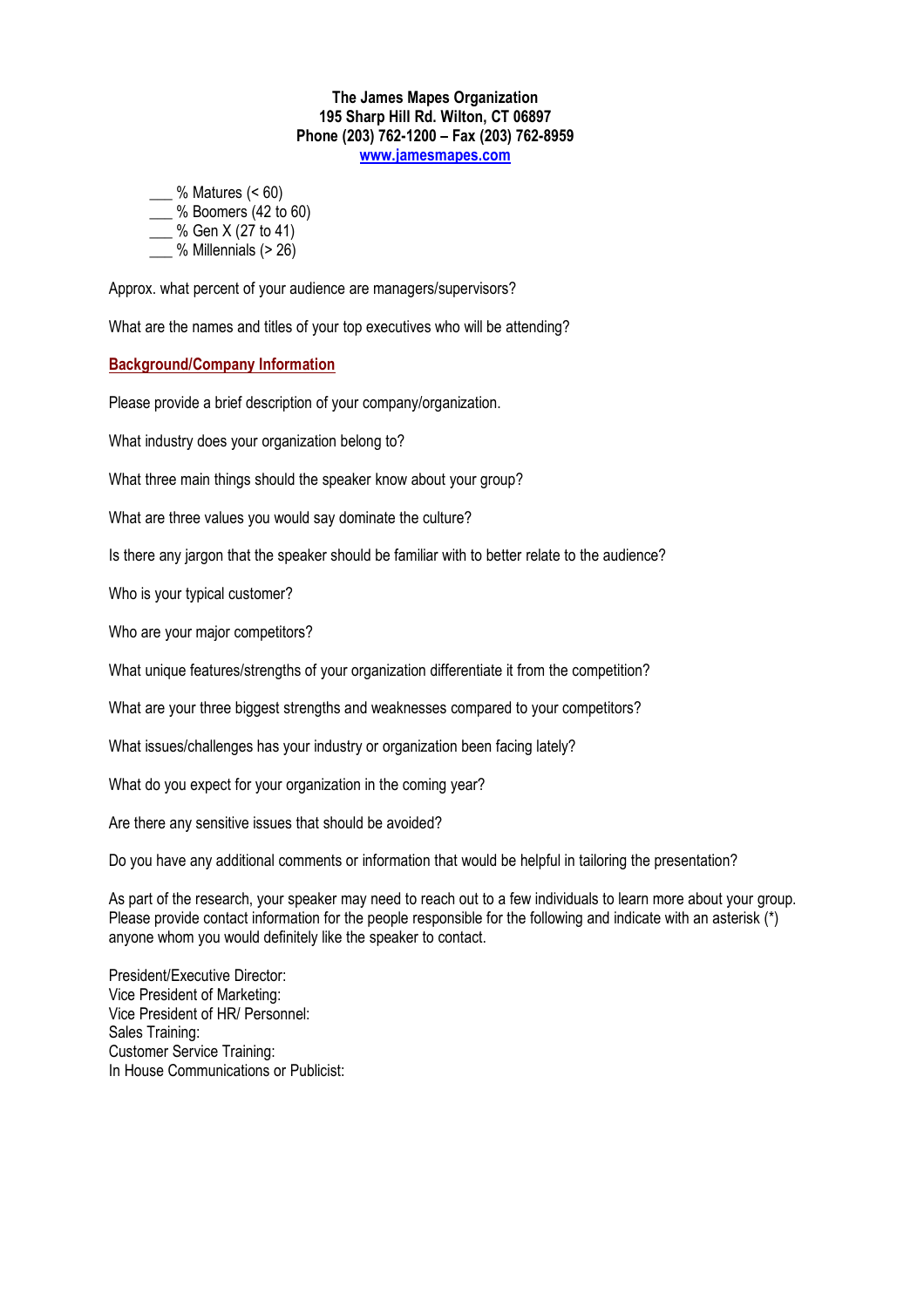#### **The James Mapes Organization 195 Sharp Hill Rd. Wilton, CT 06897 Phone (203) 762-1200 – Fax (203) 762-8959 www.jamesmapes.com**

\_\_\_ % Matures (< 60)

 $\frac{1}{2}$ % Boomers (42 to 60)

\_\_\_ % Gen X (27 to 41)

 $\frac{1}{2}$ % Millennials (> 26)

Approx. what percent of your audience are managers/supervisors?

What are the names and titles of your top executives who will be attending?

# **Background/Company Information**

Please provide a brief description of your company/organization.

What industry does your organization belong to?

What three main things should the speaker know about your group?

What are three values you would say dominate the culture?

Is there any jargon that the speaker should be familiar with to better relate to the audience?

Who is your typical customer?

Who are your major competitors?

What unique features/strengths of your organization differentiate it from the competition?

What are your three biggest strengths and weaknesses compared to your competitors?

What issues/challenges has your industry or organization been facing lately?

What do you expect for your organization in the coming year?

Are there any sensitive issues that should be avoided?

Do you have any additional comments or information that would be helpful in tailoring the presentation?

As part of the research, your speaker may need to reach out to a few individuals to learn more about your group. Please provide contact information for the people responsible for the following and indicate with an asterisk (\*) anyone whom you would definitely like the speaker to contact.

President/Executive Director: Vice President of Marketing: Vice President of HR/ Personnel: Sales Training: Customer Service Training: In House Communications or Publicist: